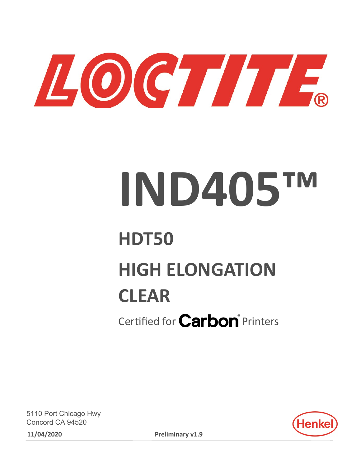

# **IND405™**

## **HDT50 HIGH ELONGATION CLEAR**

Certified for **Carbon**<sup>®</sup> Printers

5110 Port Chicago Hwy Concord CA 94520 **11/04/2020 Preliminary v1.9**

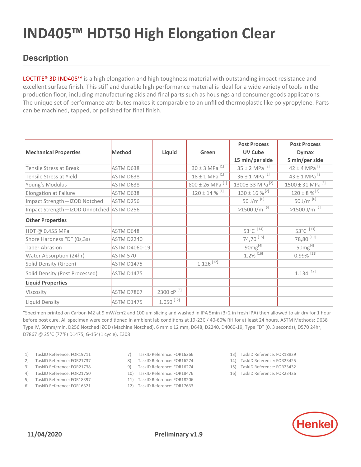#### **Description**

LOCTITE® 3D IND405™ is a high elongation and high toughness material with outstanding impact resistance and excellent surface finish. This stiff and durable high performance material is ideal for a wide variety of tools in the production floor, including manufacturing aids and final parts such as housings and consumer goods applications. The unique set of performance attributes makes it comparable to an unfilled thermoplastic like polypropylene. Parts can be machined, tapped, or polished for final finish.

|                                          |                      |                         |                                 | <b>Post Process</b>            | <b>Post Process</b>              |
|------------------------------------------|----------------------|-------------------------|---------------------------------|--------------------------------|----------------------------------|
| <b>Mechanical Properties</b>             | <b>Method</b>        | Liquid                  | Green                           | <b>UV Cube</b>                 | <b>Dymax</b>                     |
|                                          |                      |                         |                                 | 15 min/per side                | 5 min/per side                   |
| Tensile Stress at Break                  | ASTM D638            |                         | $30 \pm 3$ MPa <sup>[1]</sup>   | $35 \pm 2$ MPa <sup>[2]</sup>  | 42 ± 4 MPa $^{[3]}$              |
| Tensile Stress at Yield                  | ASTM D638            |                         | $18 \pm 1$ MPa <sup>[1]</sup>   | $36 \pm 1$ MPa <sup>[2]</sup>  | 43 ± 1 MPa $^{[3]}$              |
| Young's Modulus                          | ASTM D638            |                         | $800 \pm 26$ MPa <sup>[1]</sup> | 1300± 33 MPa <sup>[2]</sup>    | $1500 \pm 31$ MPa <sup>[3]</sup> |
| Elongation at Failure                    | ASTM D638            |                         | $120 \pm 14$ % $^{[1]}$         | $130 \pm 16$ % <sup>[2]</sup>  | $120 \pm 8 \%$ [3]               |
| Impact Strength-IZOD Notched             | ASTM D256            |                         |                                 | 50 J/m $^{[6]}$                | 50 J/m $^{[6]}$                  |
| Impact Strength-IZOD Unnotched ASTM D256 |                      |                         |                                 | $>1500$ J/m $^{[6]}$           | $>1500$ J/m $^{[6]}$             |
| <b>Other Properties</b>                  |                      |                         |                                 |                                |                                  |
| HDT @ 0.455 MPa                          | ASTM D648            |                         |                                 | $53^{\circ}C^{\overline{114}}$ | $53^{\circ}C^{\overline{13}}$    |
| Shore Hardness "D" (0s,3s)               | ASTM D2240           |                         |                                 | $74,70$ <sup>[15]</sup>        | 78,80 $^{[10]}$                  |
| Taber Abrasion                           | <b>ASTM D4060-19</b> |                         |                                 | $90mg^{[4]}$                   | $50mg^{[4]}$                     |
| Water Absorption (24hr)                  | <b>ASTM 570</b>      |                         |                                 | $1.2\%$ <sup>[16]</sup>        | $0.99\%$ <sup>[11]</sup>         |
| Solid Density (Green)                    | <b>ASTM D1475</b>    |                         | $1.126$ <sup>[12]</sup>         |                                |                                  |
| Solid Density (Post Processed)           | ASTM D1475           |                         |                                 |                                | $1.134$ <sup>[12]</sup>          |
| <b>Liquid Properties</b>                 |                      |                         |                                 |                                |                                  |
| Viscosity                                | ASTM D7867           | 2300 cP [5]             |                                 |                                |                                  |
| Liquid Density                           | <b>ASTM D1475</b>    | $1.050$ <sup>[12]</sup> |                                 |                                |                                  |

"Specimen printed on Carbon M2 at 9 mW/cm2 and 100 um slicing and washed in IPA 5min (3+2 in fresh IPA) then allowed to air dry for 1 hour before post cure. All specimen were conditioned in ambient lab conditions at 19-23C / 40-60% RH for at least 24 hours. ASTM Methods: D638 Type IV, 50mm/min, D256 Notched IZOD (Machine Notched), 6 mm x 12 mm, D648, D2240, D4060-19, Type "D" (0, 3 seconds), D570 24hr, D7867 @ 25°C (77°F) D1475, G-154(1 cycle), E308

- 1) TaskID Reference: FOR19711
- 2) TaskID Reference: FOR21737
- 3) TaskID Reference: FOR21738
- 4) TaskID Reference: FOR21750
- 5) TaskID Reference: FOR18397
- 6) TaskID Reference: FOR16321
- 7) TaskID Reference: FOR16266
- 8) TaskID Reference: FOR16274
- 9) TaskID Reference: FOR16274
- 10) TaskID Reference: FOR18476
- 11) TaskID Reference: FOR18206
- 12) TaskID Reference: FOR17633
- 13) TaskID Reference: FOR18829
- 14) TaskID Reference: FOR23425
- 15) TaskID Reference: FOR23432
- 16) TaskID Reference: FOR23426

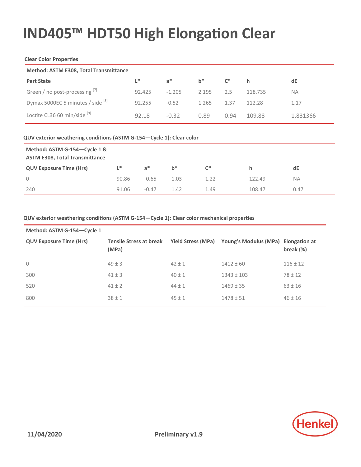#### **Clear Color Properties**

| <b>Method: ASTM E308, Total Transmittance</b> |        |          |       |                   |         |           |
|-----------------------------------------------|--------|----------|-------|-------------------|---------|-----------|
| <b>Part State</b>                             | L*     | $a^*$    | $b^*$ | $C^*$<br><b>h</b> |         | dE        |
| Green / no post-processing [7]                | 92.425 | $-1.205$ | 2.195 | 2.5               | 118.735 | <b>NA</b> |
| Dymax 5000EC 5 minutes / side [8]             | 92.255 | $-0.52$  | 1.265 | 1.37              | 112 28  | 1.17      |
| Loctite CL36 60 min/side [9]                  | 92.18  | $-0.32$  | 0.89  | 0.94              | 109.88  | 1.831366  |

#### **QUV exterior weathering conditions (ASTM G-154—Cycle 1): Clear color**

| Method: ASTM G-154-Cycle 1 &<br><b>ASTM E308, Total Transmittance</b> |       |         |       |       |        |      |
|-----------------------------------------------------------------------|-------|---------|-------|-------|--------|------|
| <b>QUV Exposure Time (Hrs)</b>                                        | "     | $a^*$   | $h^*$ | $C^*$ | h.     | dE   |
| $\circ$                                                               | 90.86 | $-0.65$ | 1.03  | 1.22  | 122.49 | NA.  |
| 240                                                                   | 91.06 | $-0.47$ | 1.42  | 1.49  | 108.47 | 0.47 |

#### **QUV exterior weathering conditions (ASTM G-154—Cycle 1): Clear color mechanical properties**

| Method: ASTM G-154-Cycle 1     |                                         |                           |                                     |              |  |  |
|--------------------------------|-----------------------------------------|---------------------------|-------------------------------------|--------------|--|--|
| <b>QUV Exposure Time (Hrs)</b> | <b>Tensile Stress at break</b><br>(MPa) | <b>Yield Stress (MPa)</b> | Young's Modulus (MPa) Elongation at | break $(\%)$ |  |  |
| $\mathbf 0$                    | $49 \pm 3$                              | $42 \pm 1$                | $1412 \pm 60$                       | $116 \pm 12$ |  |  |
| 300                            | $41 \pm 3$                              | $40 \pm 1$                | $1343 \pm 103$                      | $78 \pm 12$  |  |  |
| 520                            | $41 \pm 2$                              | $44 \pm 1$                | $1469 \pm 35$                       | $63 \pm 16$  |  |  |
| 800                            | $38 \pm 1$                              | $45 \pm 1$                | $1478 \pm 51$                       | $46 \pm 16$  |  |  |

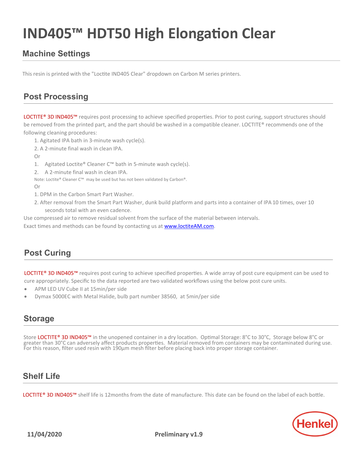#### **Machine Settings**

This resin is printed with the "Loctite IND405 Clear" dropdown on Carbon M series printers.

#### **Post Processing**

LOCTITE® 3D IND405™ requires post processing to achieve specified properties. Prior to post curing, support structures should be removed from the printed part, and the part should be washed in a compatible cleaner. LOCTITE® recommends one of the following cleaning procedures:

- 1. Agitated IPA bath in 3-minute wash cycle(s).
- 2. A 2-minute final wash in clean IPA.

Or

- 1. Agitated Loctite® Cleaner C™ bath in 5-minute wash cycle(s).
- 2. A 2-minute final wash in clean IPA.
- Note: Loctite® Cleaner C™ may be used but has not been validated by Carbon®.

Or

- 1. DPM in the Carbon Smart Part Washer.
- 2. After removal from the Smart Part Washer, dunk build platform and parts into a container of IPA 10 times, over 10 seconds total with an even cadence.

Use compressed air to remove residual solvent from the surface of the material between intervals.

Exact times and methods can be found by contacting us at **www.loctiteAM.com**.

#### **Post Curing**

LOCTITE® 3D IND405<sup>™</sup> requires post curing to achieve specified properties. A wide array of post cure equipment can be used to cure appropriately. Specific to the data reported are two validated workflows using the below post cure units.

- APM LED UV Cube II at 15min/per side
- Dymax 5000EC with Metal Halide, bulb part number 38560, at 5min/per side

#### **Storage**

Store LOCTITE® 3D IND405™ in the unopened container in a dry location. Optimal Storage: 8°C to 30°C, Storage below 8°C or greater than 30°C can adversely affect products properties. Material removed from containers may be contaminated during use. For this reason, filter used resin with 190µm mesh filter before placing back into proper storage container.

#### **Shelf Life**

LOCTITE® 3D IND405<sup>™</sup> shelf life is 12months from the date of manufacture. This date can be found on the label of each bottle.